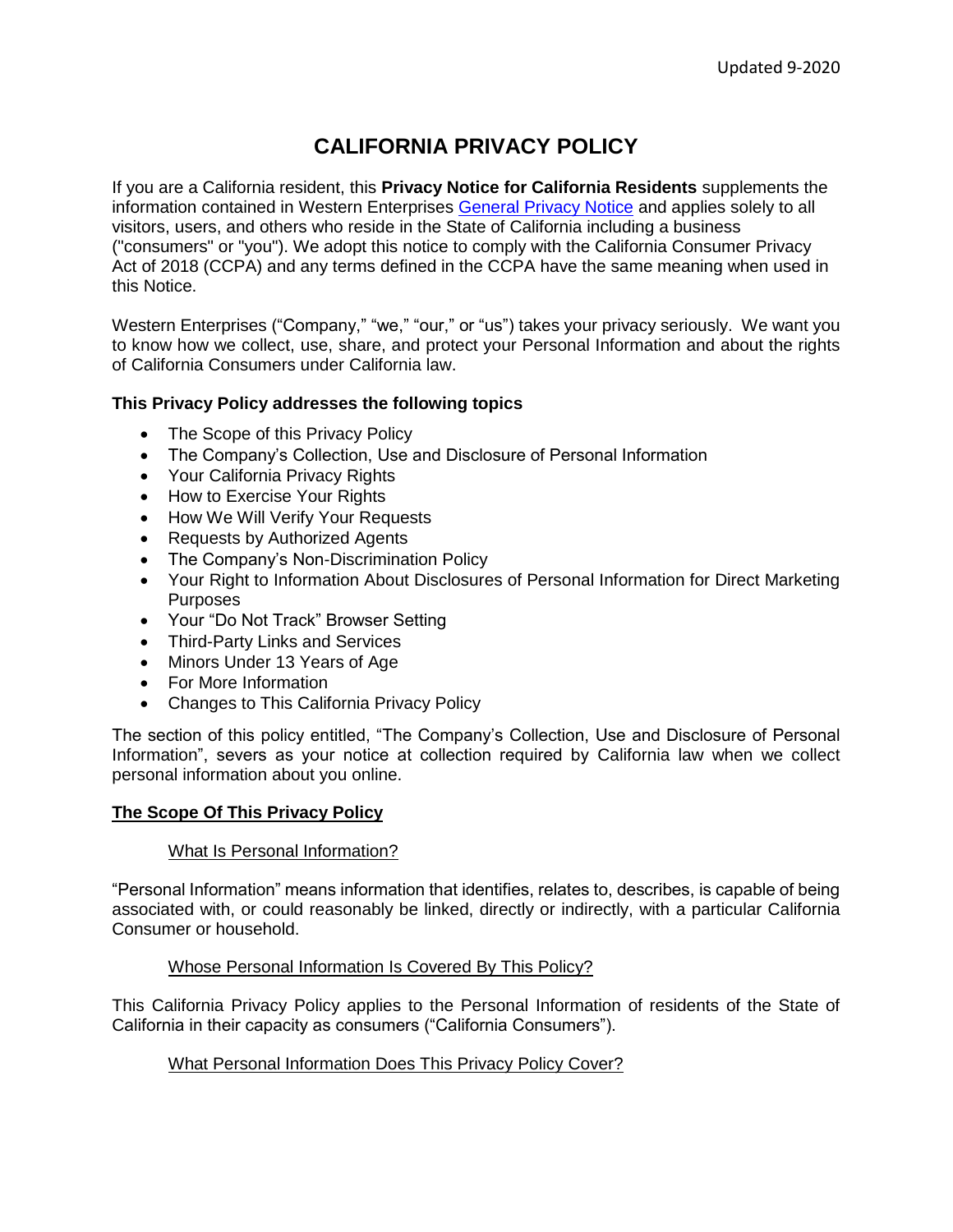# **CALIFORNIA PRIVACY POLICY**

If you are a California resident, this **Privacy Notice for California Residents** supplements the information contained in Western Enterprises General [Privacy Notice](http://westernenterprises.com/wp-content/uploads/2020/10/Western-Website-Privacy-Policy.pdf) and applies solely to all visitors, users, and others who reside in the State of California including a business ("consumers" or "you"). We adopt this notice to comply with the California Consumer Privacy Act of 2018 (CCPA) and any terms defined in the CCPA have the same meaning when used in this Notice.

Western Enterprises ("Company," "we," "our," or "us") takes your privacy seriously. We want you to know how we collect, use, share, and protect your Personal Information and about the rights of California Consumers under California law.

# **This Privacy Policy addresses the following topics**

- The Scope of this Privacy Policy
- The Company's Collection, Use and Disclosure of Personal Information
- Your California Privacy Rights
- How to Exercise Your Rights
- How We Will Verify Your Requests
- Requests by Authorized Agents
- The Company's Non-Discrimination Policy
- Your Right to Information About Disclosures of Personal Information for Direct Marketing Purposes
- Your "Do Not Track" Browser Setting
- Third-Party Links and Services
- Minors Under 13 Years of Age
- For More Information
- Changes to This California Privacy Policy

The section of this policy entitled, "The Company's Collection, Use and Disclosure of Personal Information", severs as your notice at collection required by California law when we collect personal information about you online.

# **The Scope Of This Privacy Policy**

# What Is Personal Information?

"Personal Information" means information that identifies, relates to, describes, is capable of being associated with, or could reasonably be linked, directly or indirectly, with a particular California Consumer or household.

# Whose Personal Information Is Covered By This Policy?

This California Privacy Policy applies to the Personal Information of residents of the State of California in their capacity as consumers ("California Consumers").

# What Personal Information Does This Privacy Policy Cover?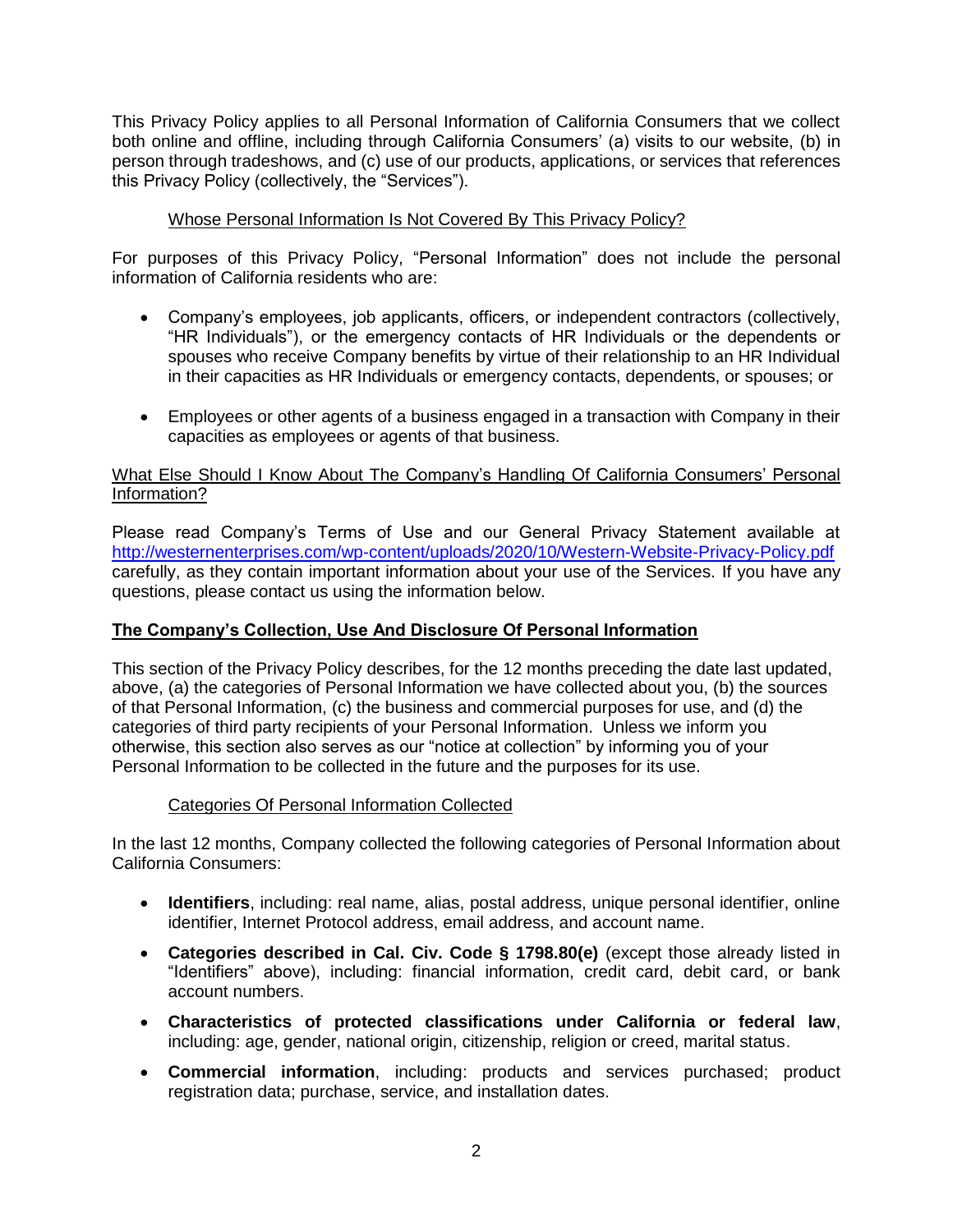This Privacy Policy applies to all Personal Information of California Consumers that we collect both online and offline, including through California Consumers' (a) visits to our website, (b) in person through tradeshows, and (c) use of our products, applications, or services that references this Privacy Policy (collectively, the "Services").

# Whose Personal Information Is Not Covered By This Privacy Policy?

For purposes of this Privacy Policy, "Personal Information" does not include the personal information of California residents who are:

- Company's employees, job applicants, officers, or independent contractors (collectively, "HR Individuals"), or the emergency contacts of HR Individuals or the dependents or spouses who receive Company benefits by virtue of their relationship to an HR Individual in their capacities as HR Individuals or emergency contacts, dependents, or spouses; or
- Employees or other agents of a business engaged in a transaction with Company in their capacities as employees or agents of that business.

## What Else Should I Know About The Company's Handling Of California Consumers' Personal Information?

Please read Company's Terms of Use and our General Privacy Statement available at <http://westernenterprises.com/wp-content/uploads/2020/10/Western-Website-Privacy-Policy.pdf> carefully, as they contain important information about your use of the Services. If you have any questions, please contact us using the information below.

# **The Company's Collection, Use And Disclosure Of Personal Information**

This section of the Privacy Policy describes, for the 12 months preceding the date last updated, above, (a) the categories of Personal Information we have collected about you, (b) the sources of that Personal Information, (c) the business and commercial purposes for use, and (d) the categories of third party recipients of your Personal Information. Unless we inform you otherwise, this section also serves as our "notice at collection" by informing you of your Personal Information to be collected in the future and the purposes for its use.

# Categories Of Personal Information Collected

In the last 12 months, Company collected the following categories of Personal Information about California Consumers:

- **Identifiers**, including: real name, alias, postal address, unique personal identifier, online identifier, Internet Protocol address, email address, and account name.
- **Categories described in Cal. Civ. Code § 1798.80(e)** (except those already listed in "Identifiers" above), including: financial information, credit card, debit card, or bank account numbers.
- **Characteristics of protected classifications under California or federal law**, including: age, gender, national origin, citizenship, religion or creed, marital status.
- **Commercial information**, including: products and services purchased; product registration data; purchase, service, and installation dates.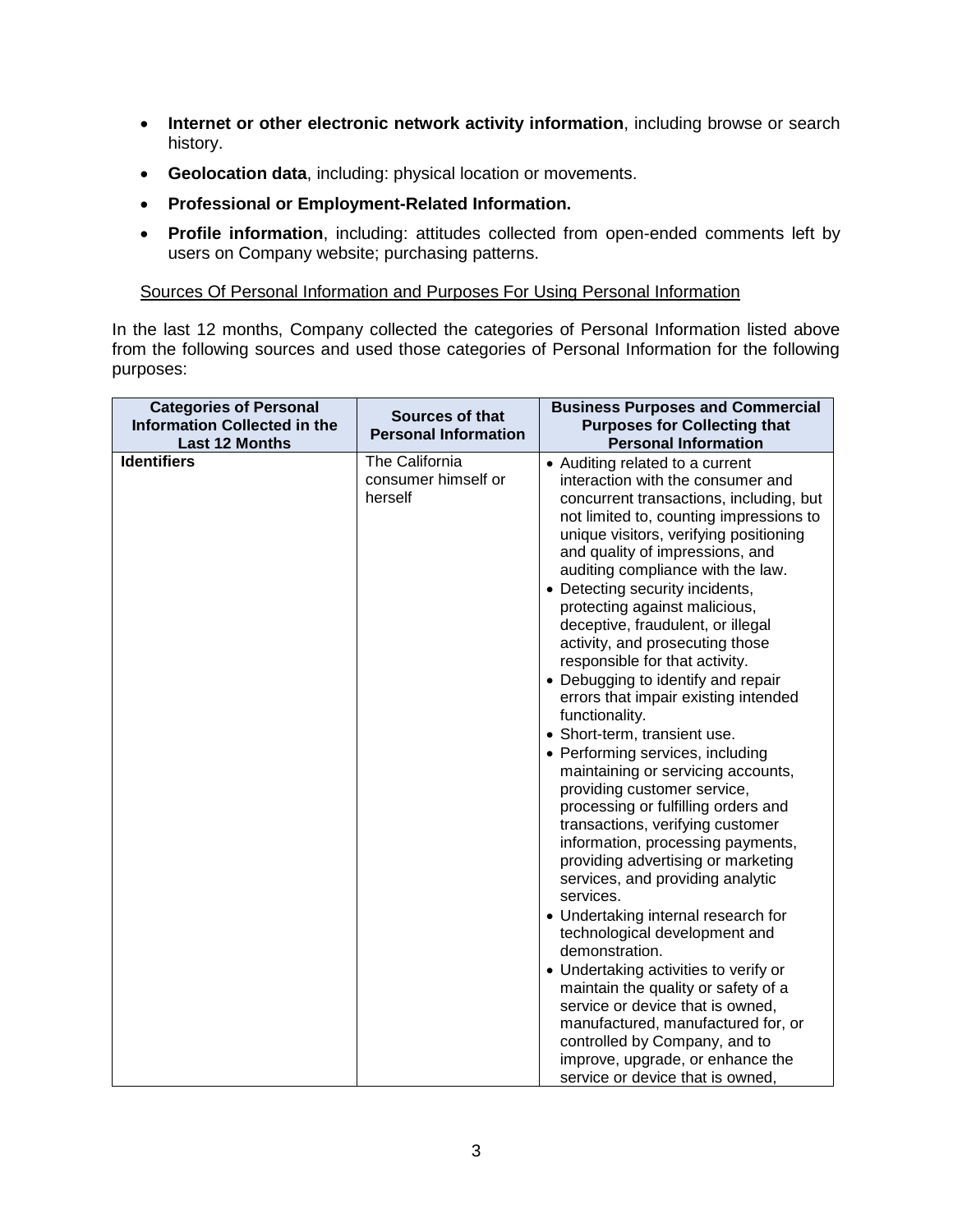- **Internet or other electronic network activity information**, including browse or search history.
- **Geolocation data**, including: physical location or movements.
- **Professional or Employment-Related Information.**
- **Profile information**, including: attitudes collected from open-ended comments left by users on Company website; purchasing patterns.

Sources Of Personal Information and Purposes For Using Personal Information

In the last 12 months, Company collected the categories of Personal Information listed above from the following sources and used those categories of Personal Information for the following purposes:

| <b>Categories of Personal</b><br><b>Information Collected in the</b><br><b>Last 12 Months</b> | Sources of that<br><b>Personal Information</b>   | <b>Business Purposes and Commercial</b><br><b>Purposes for Collecting that</b><br><b>Personal Information</b>                                                                                                                                                                                                                                                                                                                                                                                                                                                                                                                                                                                                                                                                                                                                                                                                                                                                                                                                                                                                                                                                                                                                                           |
|-----------------------------------------------------------------------------------------------|--------------------------------------------------|-------------------------------------------------------------------------------------------------------------------------------------------------------------------------------------------------------------------------------------------------------------------------------------------------------------------------------------------------------------------------------------------------------------------------------------------------------------------------------------------------------------------------------------------------------------------------------------------------------------------------------------------------------------------------------------------------------------------------------------------------------------------------------------------------------------------------------------------------------------------------------------------------------------------------------------------------------------------------------------------------------------------------------------------------------------------------------------------------------------------------------------------------------------------------------------------------------------------------------------------------------------------------|
| <b>Identifiers</b>                                                                            | The California<br>consumer himself or<br>herself | • Auditing related to a current<br>interaction with the consumer and<br>concurrent transactions, including, but<br>not limited to, counting impressions to<br>unique visitors, verifying positioning<br>and quality of impressions, and<br>auditing compliance with the law.<br>• Detecting security incidents,<br>protecting against malicious,<br>deceptive, fraudulent, or illegal<br>activity, and prosecuting those<br>responsible for that activity.<br>• Debugging to identify and repair<br>errors that impair existing intended<br>functionality.<br>• Short-term, transient use.<br>• Performing services, including<br>maintaining or servicing accounts,<br>providing customer service,<br>processing or fulfilling orders and<br>transactions, verifying customer<br>information, processing payments,<br>providing advertising or marketing<br>services, and providing analytic<br>services.<br>• Undertaking internal research for<br>technological development and<br>demonstration.<br>• Undertaking activities to verify or<br>maintain the quality or safety of a<br>service or device that is owned,<br>manufactured, manufactured for, or<br>controlled by Company, and to<br>improve, upgrade, or enhance the<br>service or device that is owned, |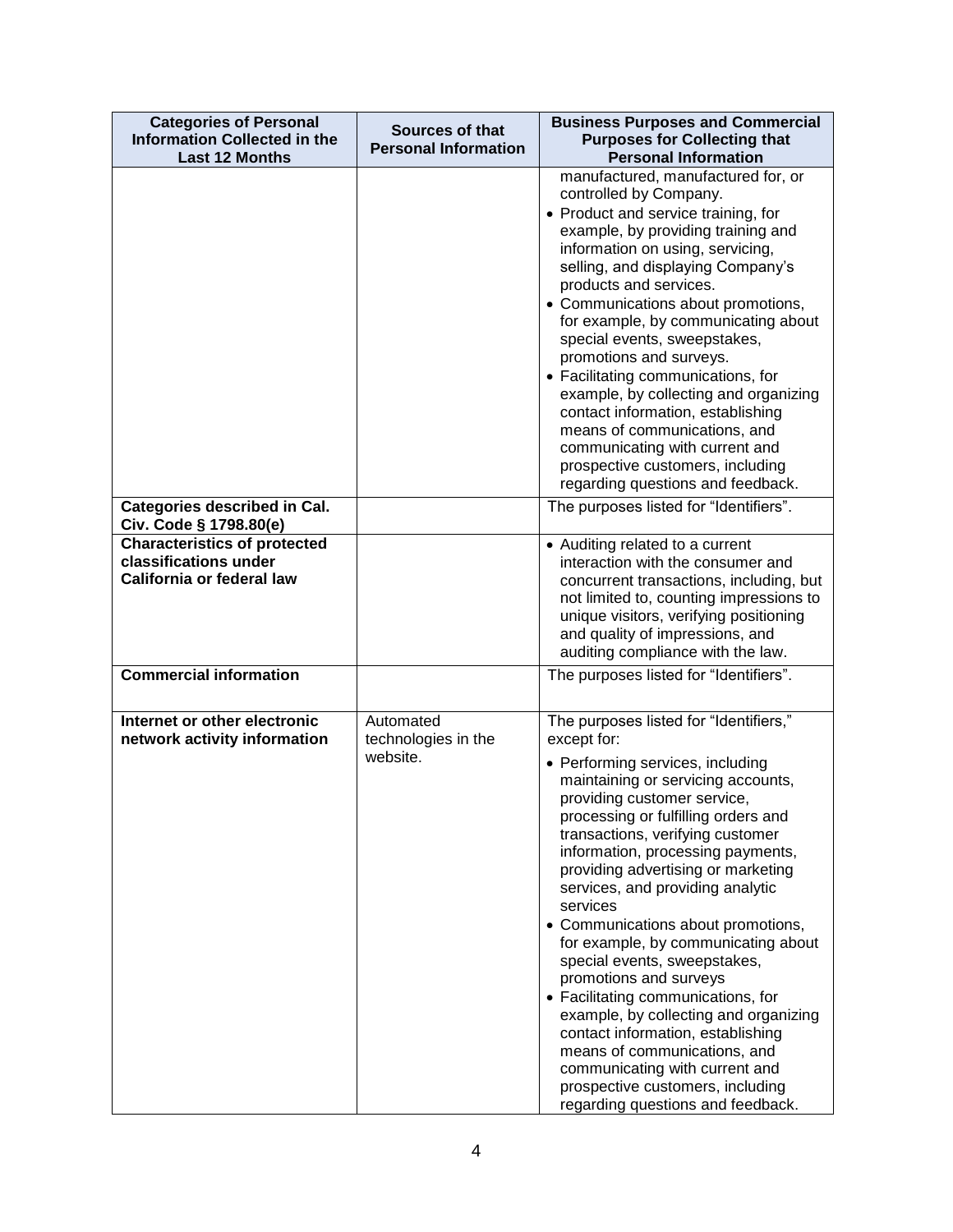| <b>Categories of Personal</b><br><b>Information Collected in the</b><br><b>Last 12 Months</b> | <b>Sources of that</b><br><b>Personal Information</b> | <b>Business Purposes and Commercial</b><br><b>Purposes for Collecting that</b><br><b>Personal Information</b>                                                                                                                                                                                                                                                                                                                                                                                                                                                                                                                                                                                                                                                              |
|-----------------------------------------------------------------------------------------------|-------------------------------------------------------|----------------------------------------------------------------------------------------------------------------------------------------------------------------------------------------------------------------------------------------------------------------------------------------------------------------------------------------------------------------------------------------------------------------------------------------------------------------------------------------------------------------------------------------------------------------------------------------------------------------------------------------------------------------------------------------------------------------------------------------------------------------------------|
|                                                                                               |                                                       | manufactured, manufactured for, or<br>controlled by Company.<br>• Product and service training, for<br>example, by providing training and<br>information on using, servicing,<br>selling, and displaying Company's<br>products and services.<br>• Communications about promotions,<br>for example, by communicating about<br>special events, sweepstakes,<br>promotions and surveys.<br>• Facilitating communications, for<br>example, by collecting and organizing<br>contact information, establishing<br>means of communications, and<br>communicating with current and<br>prospective customers, including<br>regarding questions and feedback.                                                                                                                        |
| Categories described in Cal.<br>Civ. Code § 1798.80(e)                                        |                                                       | The purposes listed for "Identifiers".                                                                                                                                                                                                                                                                                                                                                                                                                                                                                                                                                                                                                                                                                                                                     |
| <b>Characteristics of protected</b><br>classifications under<br>California or federal law     |                                                       | • Auditing related to a current<br>interaction with the consumer and<br>concurrent transactions, including, but<br>not limited to, counting impressions to<br>unique visitors, verifying positioning<br>and quality of impressions, and<br>auditing compliance with the law.                                                                                                                                                                                                                                                                                                                                                                                                                                                                                               |
| <b>Commercial information</b>                                                                 |                                                       | The purposes listed for "Identifiers".                                                                                                                                                                                                                                                                                                                                                                                                                                                                                                                                                                                                                                                                                                                                     |
| Internet or other electronic<br>network activity information                                  | Automated<br>technologies in the<br>website.          | The purposes listed for "Identifiers,"<br>except for:<br>• Performing services, including<br>maintaining or servicing accounts,<br>providing customer service,<br>processing or fulfilling orders and<br>transactions, verifying customer<br>information, processing payments,<br>providing advertising or marketing<br>services, and providing analytic<br>services<br>• Communications about promotions,<br>for example, by communicating about<br>special events, sweepstakes,<br>promotions and surveys<br>• Facilitating communications, for<br>example, by collecting and organizing<br>contact information, establishing<br>means of communications, and<br>communicating with current and<br>prospective customers, including<br>regarding questions and feedback. |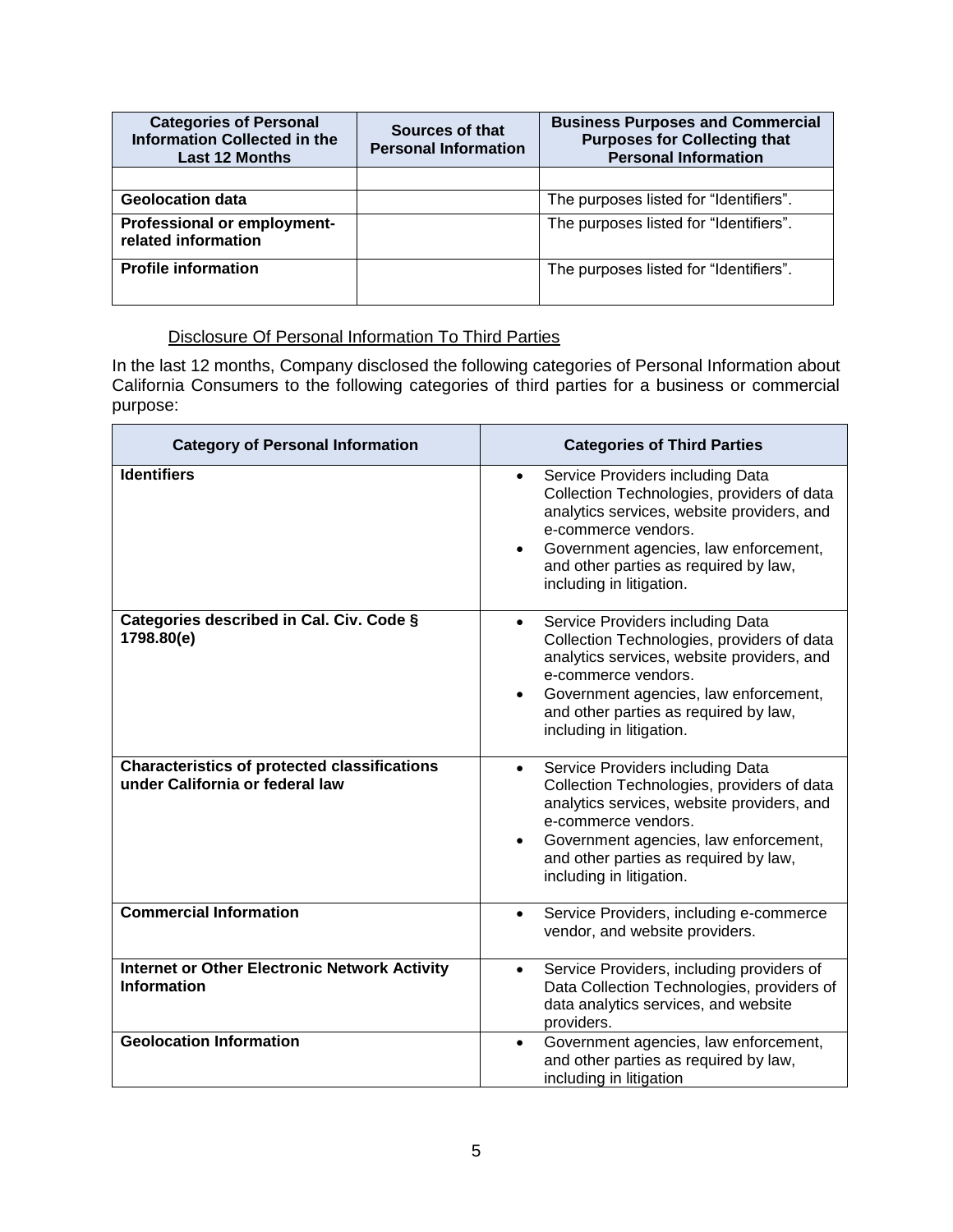| <b>Categories of Personal</b><br><b>Information Collected in the</b><br><b>Last 12 Months</b> | Sources of that<br><b>Personal Information</b> | <b>Business Purposes and Commercial</b><br><b>Purposes for Collecting that</b><br><b>Personal Information</b> |
|-----------------------------------------------------------------------------------------------|------------------------------------------------|---------------------------------------------------------------------------------------------------------------|
|                                                                                               |                                                |                                                                                                               |
| <b>Geolocation data</b>                                                                       |                                                | The purposes listed for "Identifiers".                                                                        |
| Professional or employment-<br>related information                                            |                                                | The purposes listed for "Identifiers".                                                                        |
| <b>Profile information</b>                                                                    |                                                | The purposes listed for "Identifiers".                                                                        |

# Disclosure Of Personal Information To Third Parties

In the last 12 months, Company disclosed the following categories of Personal Information about California Consumers to the following categories of third parties for a business or commercial purpose:

| <b>Category of Personal Information</b>                                                | <b>Categories of Third Parties</b>                                                                                                                                                                                                                                                          |
|----------------------------------------------------------------------------------------|---------------------------------------------------------------------------------------------------------------------------------------------------------------------------------------------------------------------------------------------------------------------------------------------|
| <b>Identifiers</b>                                                                     | Service Providers including Data<br>$\bullet$<br>Collection Technologies, providers of data<br>analytics services, website providers, and<br>e-commerce vendors.<br>Government agencies, law enforcement,<br>$\bullet$<br>and other parties as required by law,<br>including in litigation. |
| Categories described in Cal. Civ. Code §<br>1798.80(e)                                 | Service Providers including Data<br>$\bullet$<br>Collection Technologies, providers of data<br>analytics services, website providers, and<br>e-commerce vendors.<br>Government agencies, law enforcement,<br>$\bullet$<br>and other parties as required by law,<br>including in litigation. |
| <b>Characteristics of protected classifications</b><br>under California or federal law | Service Providers including Data<br>$\bullet$<br>Collection Technologies, providers of data<br>analytics services, website providers, and<br>e-commerce vendors.<br>Government agencies, law enforcement,<br>$\bullet$<br>and other parties as required by law,<br>including in litigation. |
| <b>Commercial Information</b>                                                          | Service Providers, including e-commerce<br>$\bullet$<br>vendor, and website providers.                                                                                                                                                                                                      |
| <b>Internet or Other Electronic Network Activity</b><br><b>Information</b>             | Service Providers, including providers of<br>$\bullet$<br>Data Collection Technologies, providers of<br>data analytics services, and website<br>providers.                                                                                                                                  |
| <b>Geolocation Information</b>                                                         | Government agencies, law enforcement,<br>$\bullet$<br>and other parties as required by law,<br>including in litigation                                                                                                                                                                      |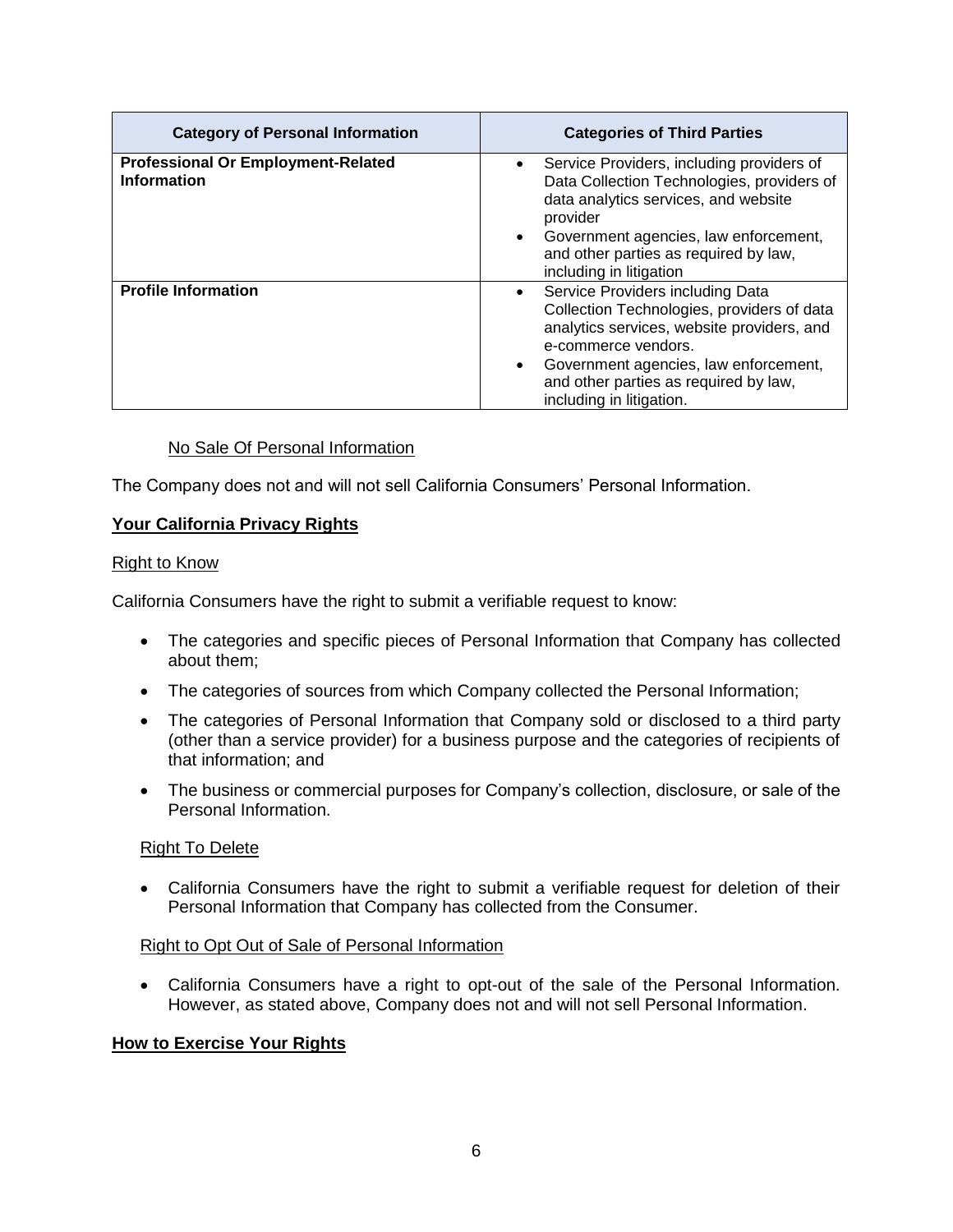| <b>Category of Personal Information</b>                         | <b>Categories of Third Parties</b>                                                                                                                                                                                                                                                          |
|-----------------------------------------------------------------|---------------------------------------------------------------------------------------------------------------------------------------------------------------------------------------------------------------------------------------------------------------------------------------------|
| <b>Professional Or Employment-Related</b><br><b>Information</b> | Service Providers, including providers of<br>$\bullet$<br>Data Collection Technologies, providers of<br>data analytics services, and website<br>provider<br>Government agencies, law enforcement,<br>$\bullet$<br>and other parties as required by law,<br>including in litigation          |
| <b>Profile Information</b>                                      | Service Providers including Data<br>$\bullet$<br>Collection Technologies, providers of data<br>analytics services, website providers, and<br>e-commerce vendors.<br>Government agencies, law enforcement,<br>$\bullet$<br>and other parties as required by law,<br>including in litigation. |

# No Sale Of Personal Information

The Company does not and will not sell California Consumers' Personal Information.

# **Your California Privacy Rights**

#### Right to Know

California Consumers have the right to submit a verifiable request to know:

- The categories and specific pieces of Personal Information that Company has collected about them;
- The categories of sources from which Company collected the Personal Information;
- The categories of Personal Information that Company sold or disclosed to a third party (other than a service provider) for a business purpose and the categories of recipients of that information; and
- The business or commercial purposes for Company's collection, disclosure, or sale of the Personal Information.

# Right To Delete

• California Consumers have the right to submit a verifiable request for deletion of their Personal Information that Company has collected from the Consumer.

#### Right to Opt Out of Sale of Personal Information

• California Consumers have a right to opt-out of the sale of the Personal Information. However, as stated above, Company does not and will not sell Personal Information.

# **How to Exercise Your Rights**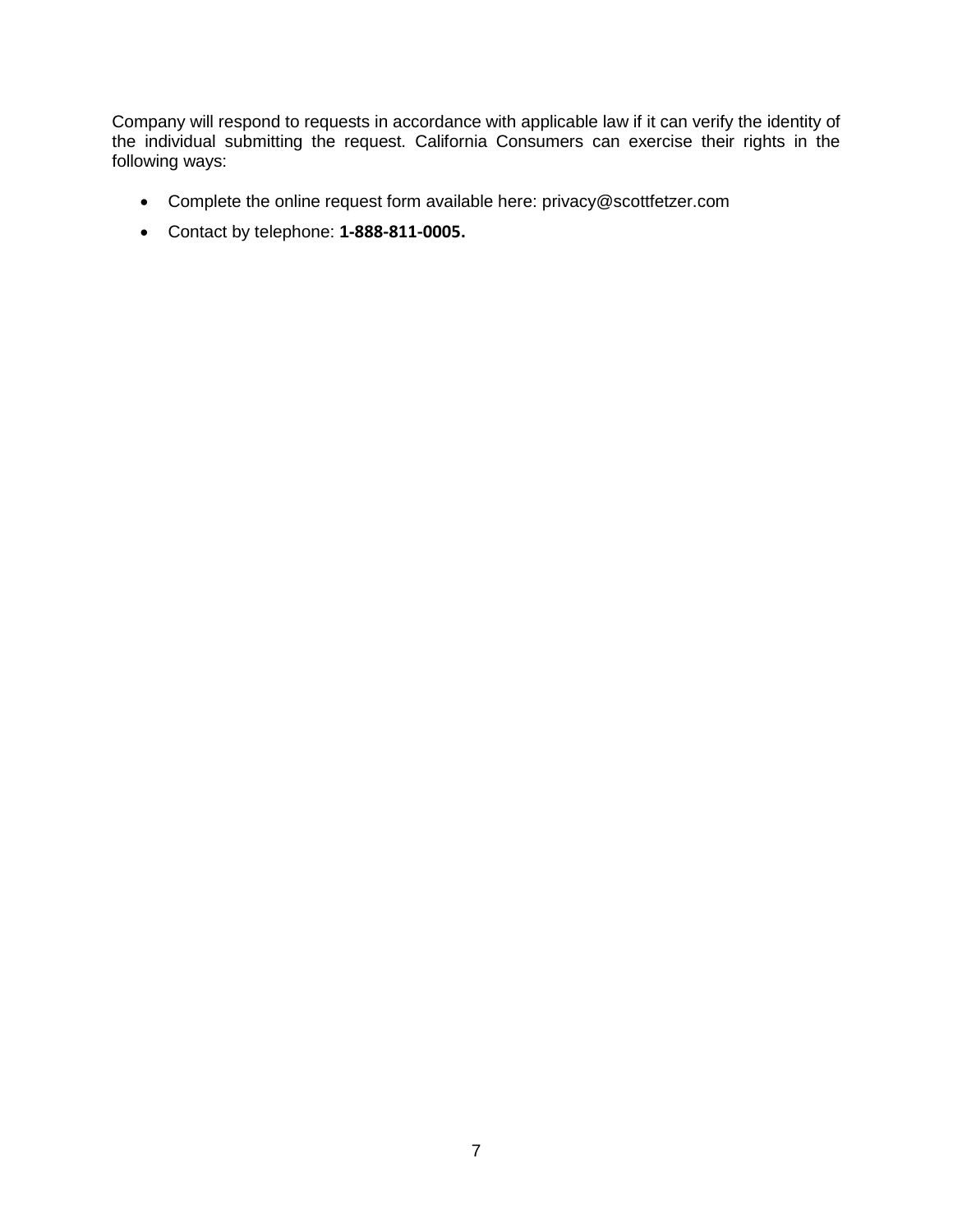Company will respond to requests in accordance with applicable law if it can verify the identity of the individual submitting the request. California Consumers can exercise their rights in the following ways:

- Complete the online request form available here: privacy@scottfetzer.com
- Contact by telephone: **1-888-811-0005.**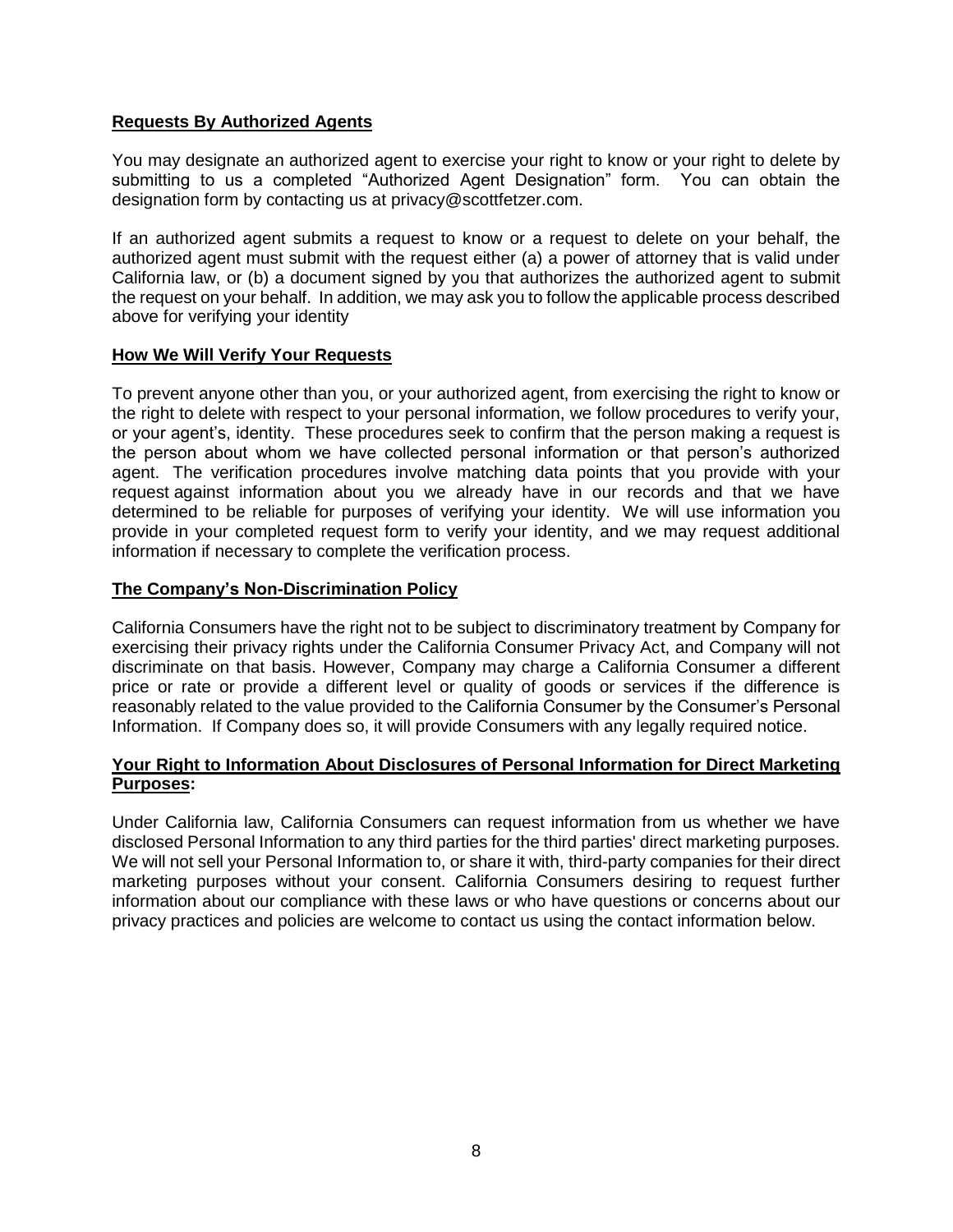# **Requests By Authorized Agents**

You may designate an authorized agent to exercise your right to know or your right to delete by submitting to us a completed "Authorized Agent Designation" form. You can obtain the designation form by contacting us at privacy@scottfetzer.com.

If an authorized agent submits a request to know or a request to delete on your behalf, the authorized agent must submit with the request either (a) a power of attorney that is valid under California law, or (b) a document signed by you that authorizes the authorized agent to submit the request on your behalf. In addition, we may ask you to follow the applicable process described above for verifying your identity

#### **How We Will Verify Your Requests**

To prevent anyone other than you, or your authorized agent, from exercising the right to know or the right to delete with respect to your personal information, we follow procedures to verify your, or your agent's, identity. These procedures seek to confirm that the person making a request is the person about whom we have collected personal information or that person's authorized agent. The verification procedures involve matching data points that you provide with your request against information about you we already have in our records and that we have determined to be reliable for purposes of verifying your identity. We will use information you provide in your completed request form to verify your identity, and we may request additional information if necessary to complete the verification process.

#### **The Company's Non-Discrimination Policy**

California Consumers have the right not to be subject to discriminatory treatment by Company for exercising their privacy rights under the California Consumer Privacy Act, and Company will not discriminate on that basis. However, Company may charge a California Consumer a different price or rate or provide a different level or quality of goods or services if the difference is reasonably related to the value provided to the California Consumer by the Consumer's Personal Information. If Company does so, it will provide Consumers with any legally required notice.

#### **Your Right to Information About Disclosures of Personal Information for Direct Marketing Purposes:**

Under California law, California Consumers can request information from us whether we have disclosed Personal Information to any third parties for the third parties' direct marketing purposes. We will not sell your Personal Information to, or share it with, third-party companies for their direct marketing purposes without your consent. California Consumers desiring to request further information about our compliance with these laws or who have questions or concerns about our privacy practices and policies are welcome to contact us using the contact information below.